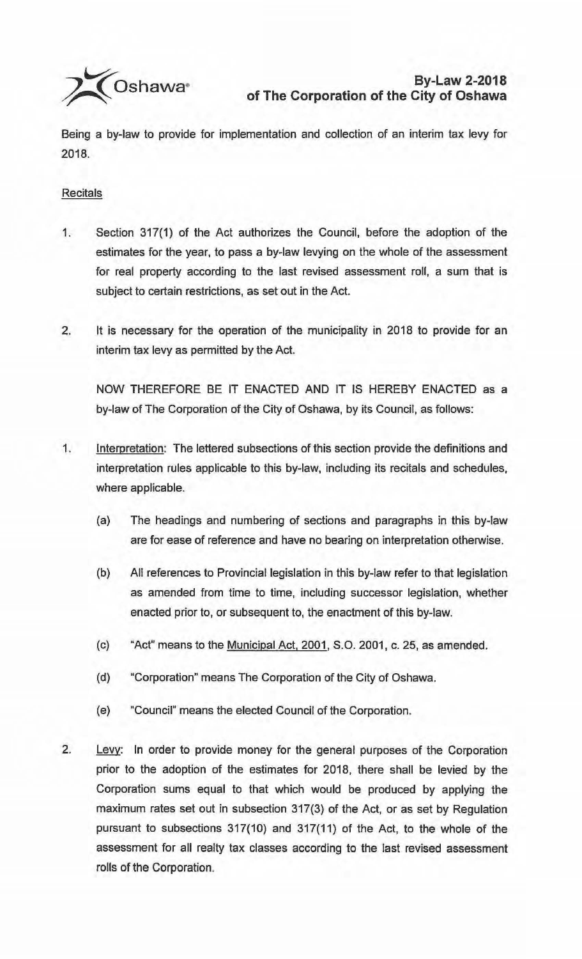

Being a by-law to provide for implementation and collection of an interim tax levy for 2018.

## **Recitals**

- 1. Section 317(1) of the Act authorizes the Council, before the adoption of the estimates for the year, to pass a by-law levying on the whole of the assessment for real property according to the last revised assessment roll, a sum that is subject to certain restrictions, as set out in the Act.
- 2. It is necessary for the operation of the municipality in 2018 to provide for an interim tax levy as permitted by the Act.

NOW THEREFORE BE IT ENACTED AND IT IS HEREBY ENACTED as a by-law of The Corporation of the City of Oshawa, by its Council, as follows:

- 1. Interpretation: The lettered subsections of this section provide the definitions and interpretation rules applicable to this by-law, including its recitals and schedules, where applicable.
	- (a) The headings and numbering of sections and paragraphs in this by-law are for ease of reference and have no bearing on interpretation otherwise.
	- (b) All references to Provincial legislation in this by-law refer to that legislation as amended from time to time, including successor legislation, whether enacted prior to, or subsequent to, the enactment of this by-law.
	- (c) "Act" means to the Municipal Act. 2001, S.O. 2001, c. 25, as amended.
	- (d) "Corporation" means The Corporation of the City of Oshawa.
	- (e) "Council" means the elected Council of the Corporation.
- 2. Levy: In order to provide money for the general purposes of the Corporation prior to the adoption of the estimates for 2018, there shall be levied by the Corporation sums equal to that which would be produced by applying the maximum rates set out in subsection 317(3) of the Act, or as set by Regulation pursuant to subsections 317(10) and 317(11) of the Act, to the whole of the assessment for all realty tax classes according to the last revised assessment rolls of the Corporation.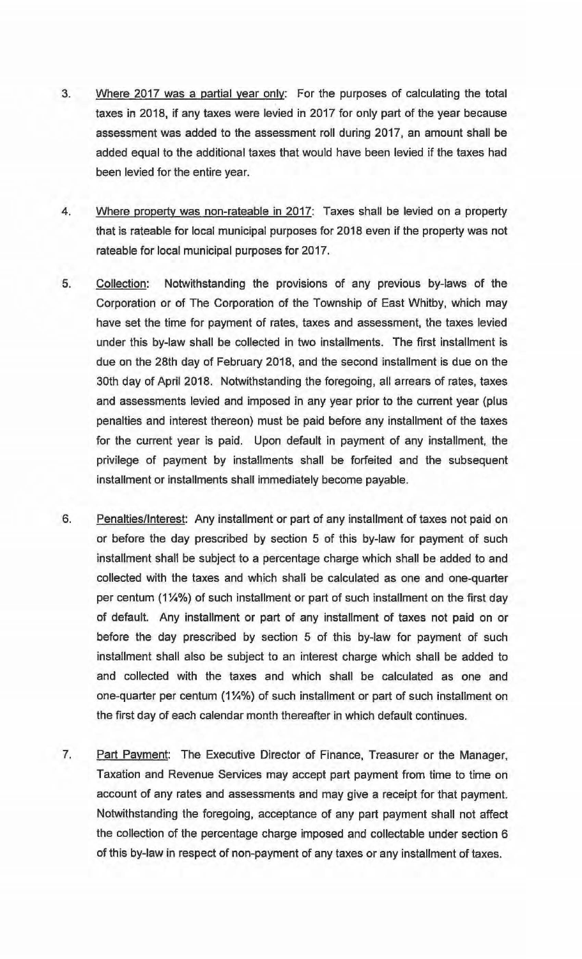- 3. Where 2017 was a partial year only: For the purposes of calculating the total taxes in 2018, if any taxes were levied in 2017 for only part of the year because assessment was added to the assessment roll during 2017, an amount shall be added equal to the additional taxes that would have been levied if the taxes had been levied for the entire year.
- 4. Where property was non-rateable in 2017: Taxes shall be levied on a property that is rateable for local municipal purposes for 2018 even if the property was not rateable for local municipal purposes for 2017.
- 5. Collection: Notwithstanding the provisions of any previous by-laws of the Corporation or of The Corporation of the Township of East Whitby, which may have set the time for payment of rates, taxes and assessment, the taxes levied under this by-law shall be collected in two installments. The first installment is due on the 28th day of February 2018, and the second installment is due on the 30th day of April 2018. Notwithstanding the foregoing, all arrears of rates, taxes and assessments levied and imposed in any year prior to the current year (plus penalties and interest thereon) must be paid before any installment of the taxes for the current year is paid. Upon default in payment of any installment, the privilege of payment by installments shall be forfeited and the subsequent installment or installments shall immediately become payable.
- 6. Penalties/Interest: Any installment or part of any installment of taxes not paid on or before the day prescribed by section 5 of this by-law for payment of such installment shall be subject to a percentage charge which shall be added to and collected with the taxes and which shall be calculated as one and one-quarter per centum (1¼%) of such installment or part of such installment on the first day of default. Any installment or part of any installment of taxes not paid on or before the day prescribed by section 5 of this by-law for payment of such installment shall also be subject to an interest charge which shall be added to and collected with the taxes and which shall be calculated as one and one-quarter per centum (1¼%) of such installment or part of such installment on the first day of each calendar month thereafter in which default continues.
- 7. Part Payment: The Executive Director of Finance, Treasurer or the Manager, Taxation and Revenue Services may accept part payment from time to time on account of any rates and assessments and may give a receipt for that payment. Notwithstanding the foregoing, acceptance of any part payment shall not affect the collection of the percentage charge imposed and collectable under section 6 of this by-law in respect of non-payment of any taxes or any installment of taxes.